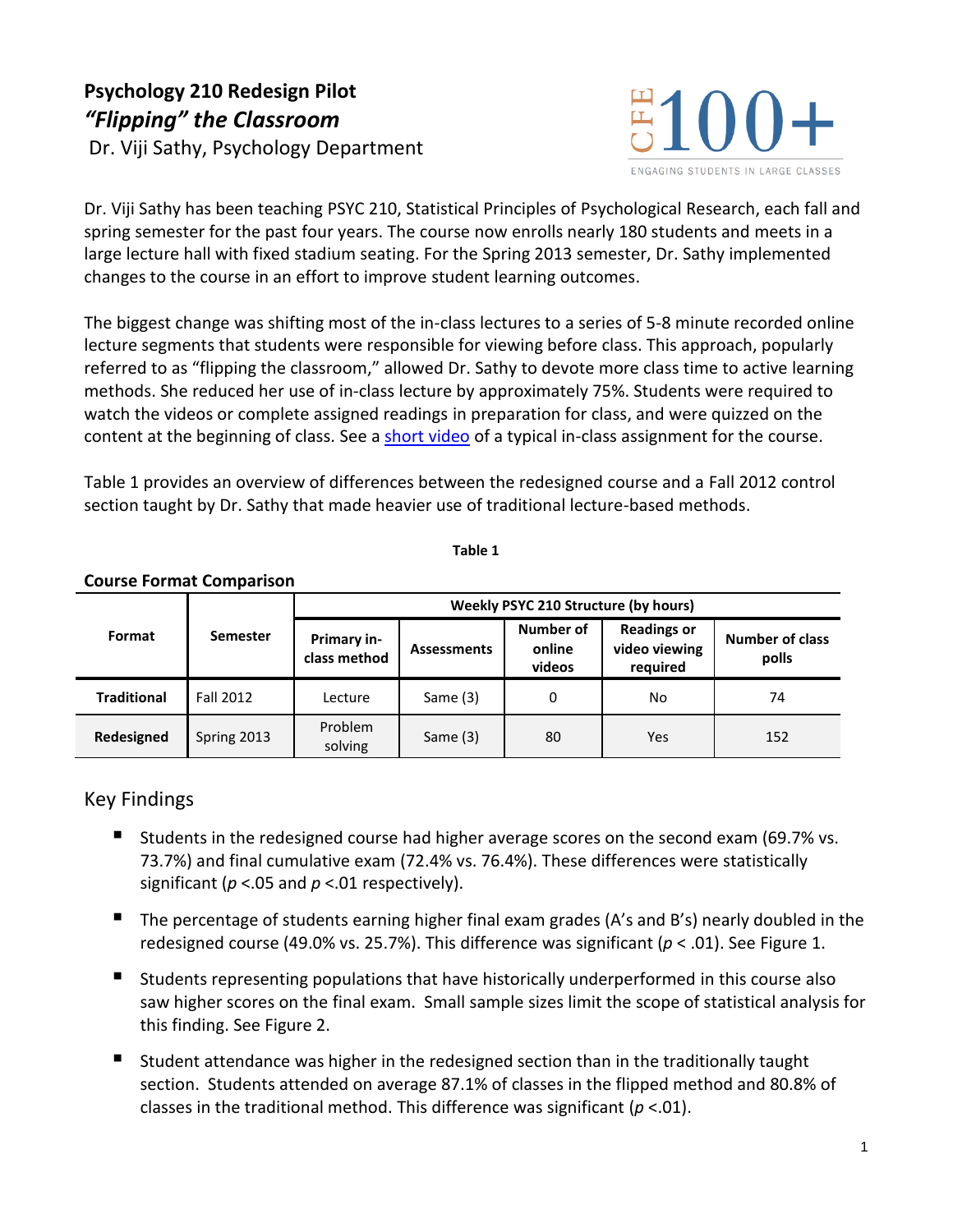# **Psychology 210 Redesign Pilot** *"Flipping" the Classroom* Dr. Viji Sathy, Psychology Department



Dr. Viji Sathy has been teaching PSYC 210, Statistical Principles of Psychological Research, each fall and spring semester for the past four years. The course now enrolls nearly 180 students and meets in a large lecture hall with fixed stadium seating. For the Spring 2013 semester, Dr. Sathy implemented changes to the course in an effort to improve student learning outcomes.

The biggest change was shifting most of the in-class lectures to a series of 5-8 minute recorded online lecture segments that students were responsible for viewing before class. This approach, popularly referred to as "flipping the classroom," allowed Dr. Sathy to devote more class time to active learning methods. She reduced her use of in-class lecture by approximately 75%. Students were required to watch the videos or complete assigned readings in preparation for class, and were quizzed on the content at the beginning of class. See a [short video](http://youtu.be/hU33O3N7UKA) of a typical in-class assignment for the course.

Table 1 provides an overview of differences between the redesigned course and a Fall 2012 control section taught by Dr. Sathy that made heavier use of traditional lecture-based methods.

**Table 1**

| Format             | <b>Semester</b> | Weekly PSYC 210 Structure (by hours) |                    |                               |                                                 |                                 |
|--------------------|-----------------|--------------------------------------|--------------------|-------------------------------|-------------------------------------------------|---------------------------------|
|                    |                 | Primary in-<br>class method          | <b>Assessments</b> | Number of<br>online<br>videos | <b>Readings or</b><br>video viewing<br>required | <b>Number of class</b><br>polls |
| <b>Traditional</b> | Fall 2012       | Lecture                              | Same (3)           | 0                             | No                                              | 74                              |
| Redesigned         | Spring 2013     | Problem<br>solving                   | Same $(3)$         | 80                            | Yes                                             | 152                             |

#### **Course Format Comparison**

### Key Findings

- **Students in the redesigned course had higher average scores on the second exam (69.7% vs.** 73.7%) and final cumulative exam (72.4% vs. 76.4%). These differences were statistically significant (*p* <.05 and *p* <.01 respectively).
- The percentage of students earning higher final exam grades (A's and B's) nearly doubled in the redesigned course (49.0% vs. 25.7%). This difference was significant (*p* < .01). See Figure 1.
- Students representing populations that have historically underperformed in this course also saw higher scores on the final exam. Small sample sizes limit the scope of statistical analysis for this finding. See Figure 2.
- Student attendance was higher in the redesigned section than in the traditionally taught section. Students attended on average 87.1% of classes in the flipped method and 80.8% of classes in the traditional method. This difference was significant (*p* <.01).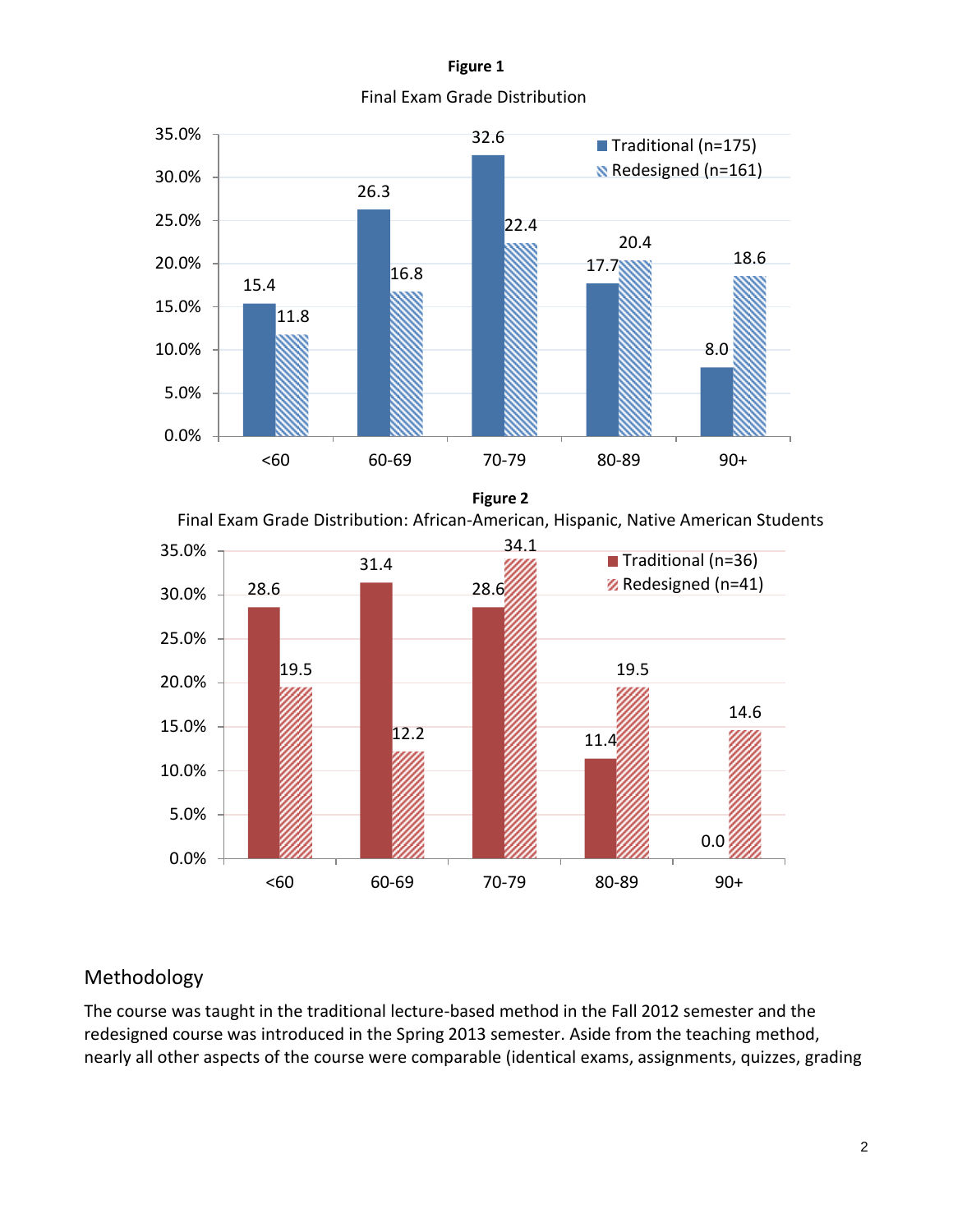**Figure 1** Final Exam Grade Distribution



**Figure 2**

Final Exam Grade Distribution: African-American, Hispanic, Native American Students



## Methodology

The course was taught in the traditional lecture-based method in the Fall 2012 semester and the redesigned course was introduced in the Spring 2013 semester. Aside from the teaching method, nearly all other aspects of the course were comparable (identical exams, assignments, quizzes, grading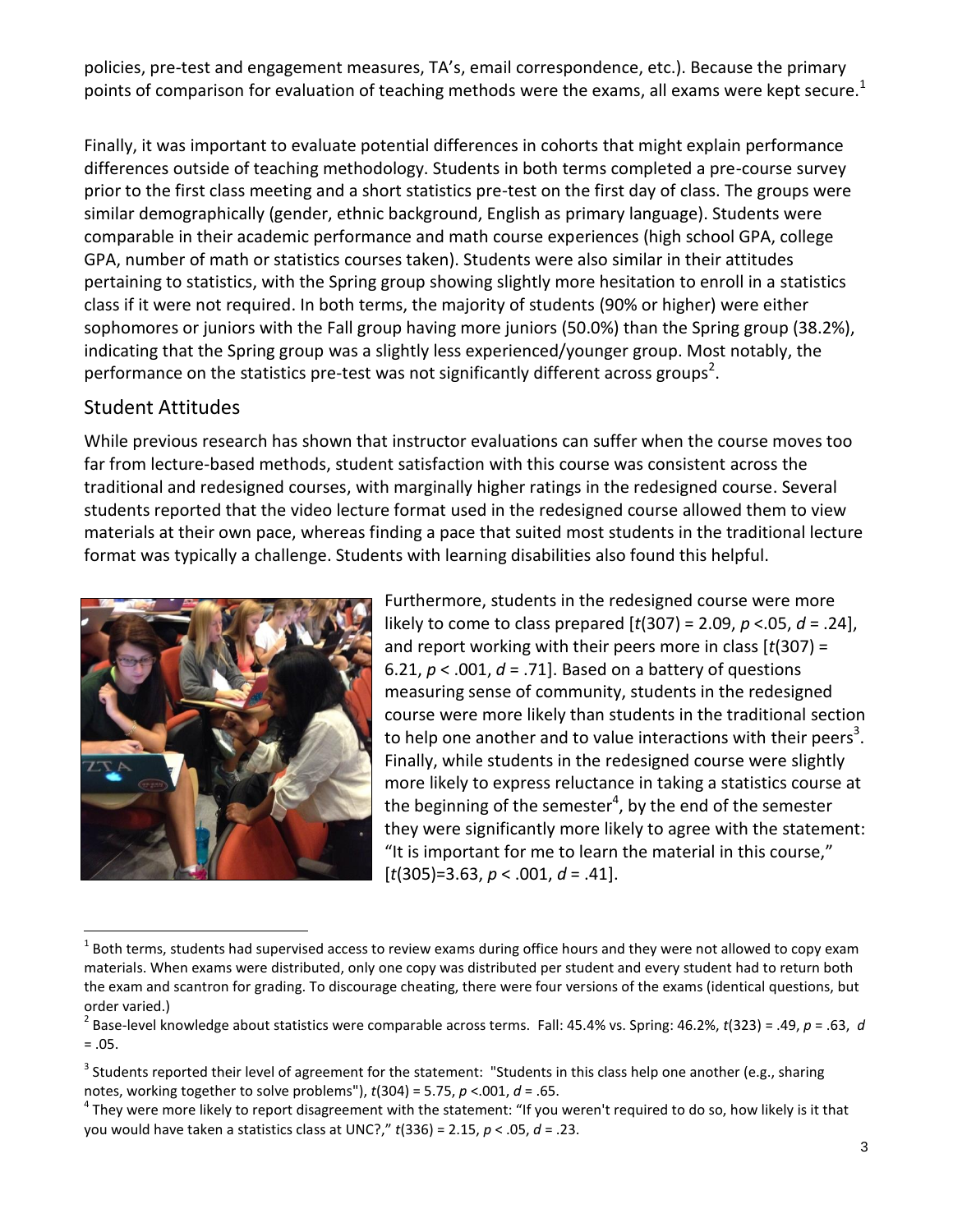policies, pre-test and engagement measures, TA's, email correspondence, etc.). Because the primary points of comparison for evaluation of teaching methods were the exams, all exams were kept secure.<sup>1</sup>

Finally, it was important to evaluate potential differences in cohorts that might explain performance differences outside of teaching methodology. Students in both terms completed a pre-course survey prior to the first class meeting and a short statistics pre-test on the first day of class. The groups were similar demographically (gender, ethnic background, English as primary language). Students were comparable in their academic performance and math course experiences (high school GPA, college GPA, number of math or statistics courses taken). Students were also similar in their attitudes pertaining to statistics, with the Spring group showing slightly more hesitation to enroll in a statistics class if it were not required. In both terms, the majority of students (90% or higher) were either sophomores or juniors with the Fall group having more juniors (50.0%) than the Spring group (38.2%), indicating that the Spring group was a slightly less experienced/younger group. Most notably, the performance on the statistics pre-test was not significantly different across groups<sup>2</sup>.

#### Student Attitudes

While previous research has shown that instructor evaluations can suffer when the course moves too far from lecture-based methods, student satisfaction with this course was consistent across the traditional and redesigned courses, with marginally higher ratings in the redesigned course. Several students reported that the video lecture format used in the redesigned course allowed them to view materials at their own pace, whereas finding a pace that suited most students in the traditional lecture format was typically a challenge. Students with learning disabilities also found this helpful.



 $\overline{a}$ 

Furthermore, students in the redesigned course were more likely to come to class prepared [*t*(307) = 2.09, *p* <.05, *d* = .24], and report working with their peers more in class [*t*(307) = 6.21, *p* < .001, *d* = .71]. Based on a battery of questions measuring sense of community, students in the redesigned course were more likely than students in the traditional section to help one another and to value interactions with their peers<sup>3</sup>. Finally, while students in the redesigned course were slightly more likely to express reluctance in taking a statistics course at the beginning of the semester $^4$ , by the end of the semester they were significantly more likely to agree with the statement: "It is important for me to learn the material in this course," [*t*(305)=3.63, *p* < .001, *d* = .41].

<sup>1</sup> Both terms, students had supervised access to review exams during office hours and they were not allowed to copy exam materials. When exams were distributed, only one copy was distributed per student and every student had to return both the exam and scantron for grading. To discourage cheating, there were four versions of the exams (identical questions, but order varied.)

<sup>2</sup> Base-level knowledge about statistics were comparable across terms. Fall: 45.4% vs. Spring: 46.2%, *t*(323) = .49, *p* = .63, *d*  $= .05.$ 

<sup>&</sup>lt;sup>3</sup> Students reported their level of agreement for the statement: "Students in this class help one another (e.g., sharing notes, working together to solve problems"), *t*(304) = 5.75, *p* <.001, *d* = .65.

 $^4$  They were more likely to report disagreement with the statement: "If you weren't required to do so, how likely is it that you would have taken a statistics class at UNC?," *t*(336) = 2.15, *p* < .05, *d* = .23.